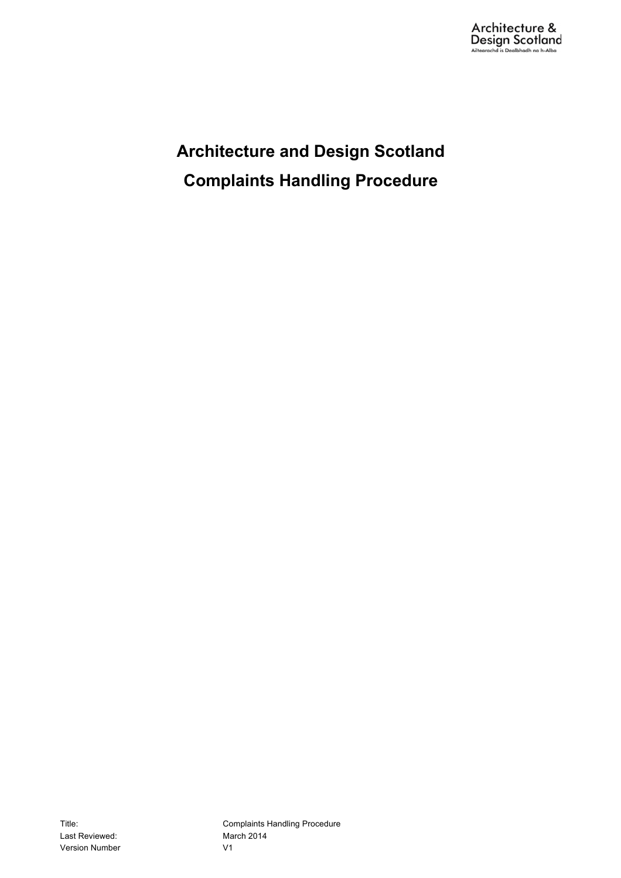**Architecture and Design Scotland Complaints Handling Procedure**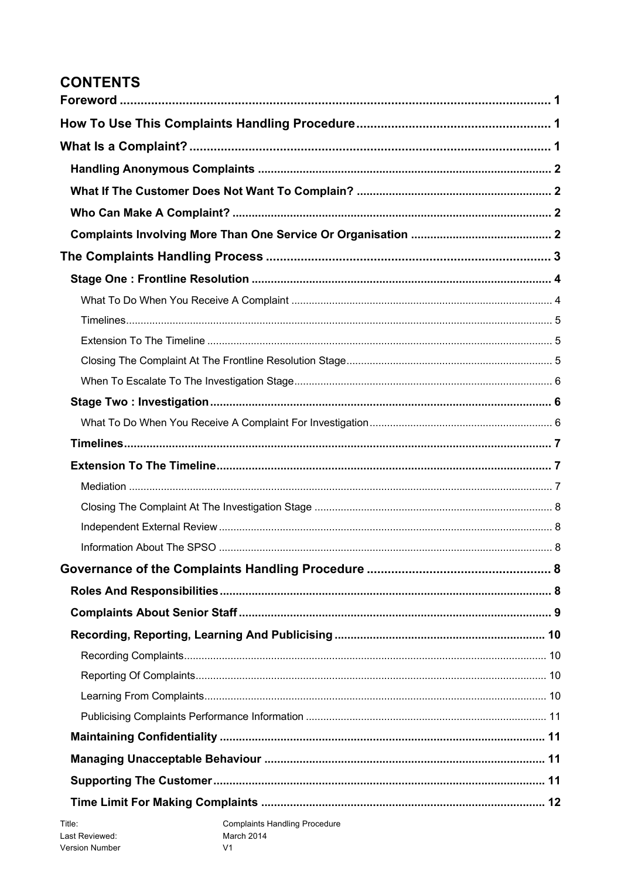# **CONTENTS**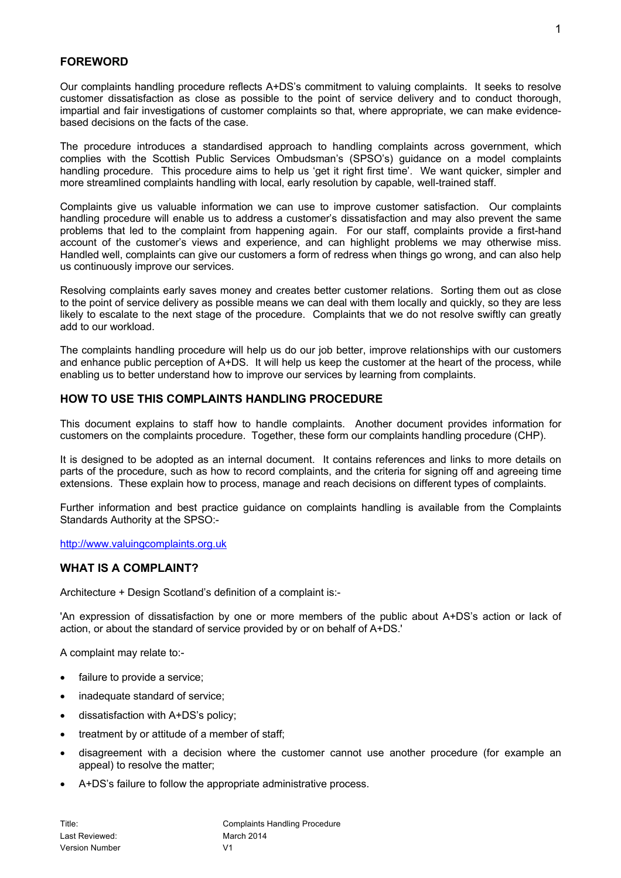## **FOREWORD**

Our complaints handling procedure reflects A+DS's commitment to valuing complaints. It seeks to resolve customer dissatisfaction as close as possible to the point of service delivery and to conduct thorough, impartial and fair investigations of customer complaints so that, where appropriate, we can make evidencebased decisions on the facts of the case.

The procedure introduces a standardised approach to handling complaints across government, which complies with the Scottish Public Services Ombudsman's (SPSO's) guidance on a model complaints handling procedure. This procedure aims to help us 'get it right first time'. We want quicker, simpler and more streamlined complaints handling with local, early resolution by capable, well-trained staff.

Complaints give us valuable information we can use to improve customer satisfaction. Our complaints handling procedure will enable us to address a customer's dissatisfaction and may also prevent the same problems that led to the complaint from happening again. For our staff, complaints provide a first-hand account of the customer's views and experience, and can highlight problems we may otherwise miss. Handled well, complaints can give our customers a form of redress when things go wrong, and can also help us continuously improve our services.

Resolving complaints early saves money and creates better customer relations. Sorting them out as close to the point of service delivery as possible means we can deal with them locally and quickly, so they are less likely to escalate to the next stage of the procedure. Complaints that we do not resolve swiftly can greatly add to our workload.

The complaints handling procedure will help us do our job better, improve relationships with our customers and enhance public perception of A+DS. It will help us keep the customer at the heart of the process, while enabling us to better understand how to improve our services by learning from complaints.

## **HOW TO USE THIS COMPLAINTS HANDLING PROCEDURE**

This document explains to staff how to handle complaints. Another document provides information for customers on the complaints procedure. Together, these form our complaints handling procedure (CHP).

It is designed to be adopted as an internal document. It contains references and links to more details on parts of the procedure, such as how to record complaints, and the criteria for signing off and agreeing time extensions. These explain how to process, manage and reach decisions on different types of complaints.

Further information and best practice guidance on complaints handling is available from the Complaints Standards Authority at the SPSO:-

http://www.valuingcomplaints.org.uk

## **WHAT IS A COMPLAINT?**

Architecture + Design Scotland's definition of a complaint is:-

'An expression of dissatisfaction by one or more members of the public about A+DS's action or lack of action, or about the standard of service provided by or on behalf of A+DS.'

A complaint may relate to:-

- failure to provide a service;
- inadequate standard of service:
- dissatisfaction with A+DS's policy;
- treatment by or attitude of a member of staff;
- disagreement with a decision where the customer cannot use another procedure (for example an appeal) to resolve the matter;
- A+DS's failure to follow the appropriate administrative process.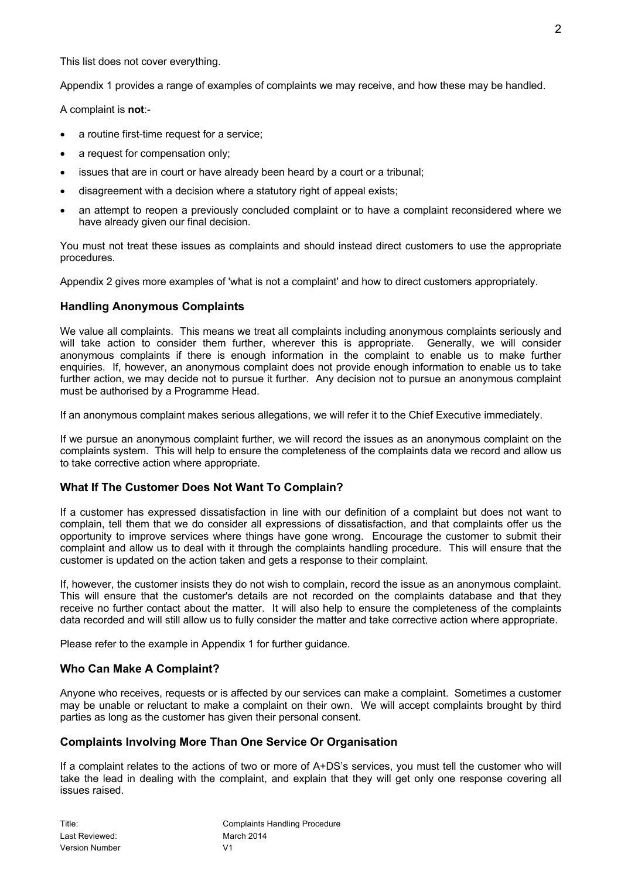This list does not cover everything.

Appendix 1 provides a range of examples of complaints we may receive, and how these may be handled.

A complaint is **not**:-

- a routine first-time request for a service:
- a request for compensation only;
- issues that are in court or have already been heard by a court or a tribunal;
- disagreement with a decision where a statutory right of appeal exists;
- an attempt to reopen a previously concluded complaint or to have a complaint reconsidered where we have already given our final decision.

You must not treat these issues as complaints and should instead direct customers to use the appropriate procedures.

Appendix 2 gives more examples of 'what is not a complaint' and how to direct customers appropriately.

## **Handling Anonymous Complaints**

We value all complaints. This means we treat all complaints including anonymous complaints seriously and will take action to consider them further, wherever this is appropriate. Generally, we will consider anonymous complaints if there is enough information in the complaint to enable us to make further enquiries. If, however, an anonymous complaint does not provide enough information to enable us to take further action, we may decide not to pursue it further. Any decision not to pursue an anonymous complaint must be authorised by a Programme Head.

If an anonymous complaint makes serious allegations, we will refer it to the Chief Executive immediately.

If we pursue an anonymous complaint further, we will record the issues as an anonymous complaint on the complaints system. This will help to ensure the completeness of the complaints data we record and allow us to take corrective action where appropriate.

## **What If The Customer Does Not Want To Complain?**

If a customer has expressed dissatisfaction in line with our definition of a complaint but does not want to complain, tell them that we do consider all expressions of dissatisfaction, and that complaints offer us the opportunity to improve services where things have gone wrong. Encourage the customer to submit their complaint and allow us to deal with it through the complaints handling procedure. This will ensure that the customer is updated on the action taken and gets a response to their complaint.

If, however, the customer insists they do not wish to complain, record the issue as an anonymous complaint. This will ensure that the customer's details are not recorded on the complaints database and that they receive no further contact about the matter. It will also help to ensure the completeness of the complaints data recorded and will still allow us to fully consider the matter and take corrective action where appropriate.

Please refer to the example in Appendix 1 for further guidance.

## **Who Can Make A Complaint?**

Anyone who receives, requests or is affected by our services can make a complaint. Sometimes a customer may be unable or reluctant to make a complaint on their own. We will accept complaints brought by third parties as long as the customer has given their personal consent.

## **Complaints Involving More Than One Service Or Organisation**

If a complaint relates to the actions of two or more of A+DS's services, you must tell the customer who will take the lead in dealing with the complaint, and explain that they will get only one response covering all issues raised.

| Title:                | Co |
|-----------------------|----|
| Last Reviewed:        | Mε |
| <b>Version Number</b> | V1 |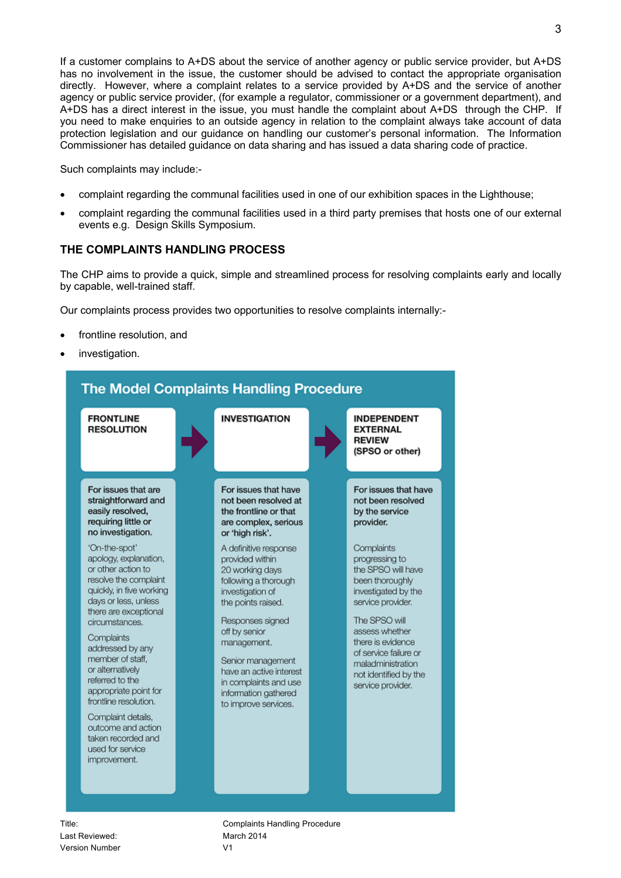If a customer complains to A+DS about the service of another agency or public service provider, but A+DS has no involvement in the issue, the customer should be advised to contact the appropriate organisation directly. However, where a complaint relates to a service provided by A+DS and the service of another agency or public service provider, (for example a regulator, commissioner or a government department), and A+DS has a direct interest in the issue, you must handle the complaint about A+DS through the CHP. If you need to make enquiries to an outside agency in relation to the complaint always take account of data protection legislation and our guidance on handling our customer's personal information. The Information Commissioner has detailed guidance on data sharing and has issued a data sharing code of practice.

Such complaints may include:-

- complaint regarding the communal facilities used in one of our exhibition spaces in the Lighthouse;
- complaint regarding the communal facilities used in a third party premises that hosts one of our external events e.g. Design Skills Symposium.

## **THE COMPLAINTS HANDLING PROCESS**

The CHP aims to provide a quick, simple and streamlined process for resolving complaints early and locally by capable, well-trained staff.

Our complaints process provides two opportunities to resolve complaints internally:-

- frontline resolution, and
- investigation.



Title: Title: **Complaints Handling Procedure**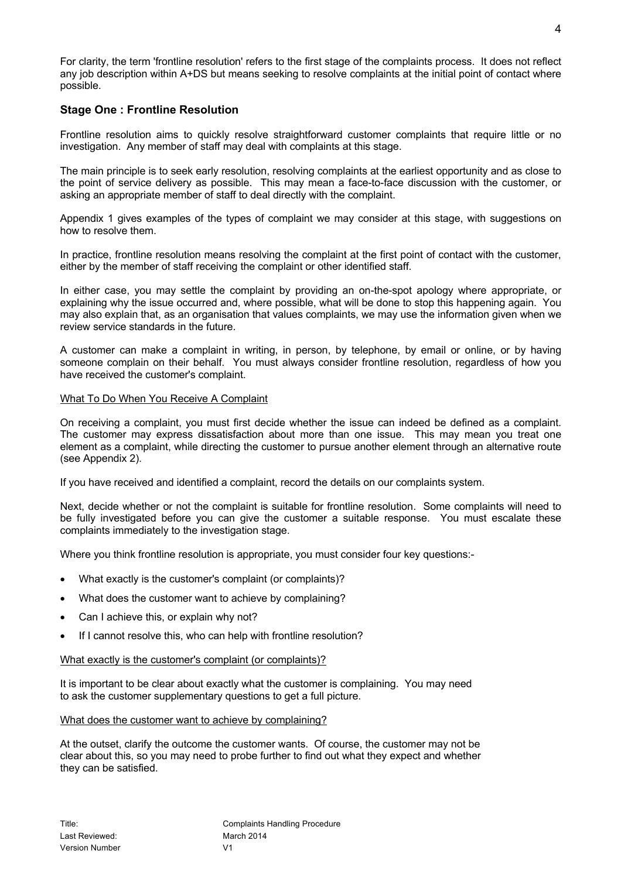For clarity, the term 'frontline resolution' refers to the first stage of the complaints process. It does not reflect any job description within A+DS but means seeking to resolve complaints at the initial point of contact where possible.

## **Stage One : Frontline Resolution**

Frontline resolution aims to quickly resolve straightforward customer complaints that require little or no investigation. Any member of staff may deal with complaints at this stage.

The main principle is to seek early resolution, resolving complaints at the earliest opportunity and as close to the point of service delivery as possible. This may mean a face-to-face discussion with the customer, or asking an appropriate member of staff to deal directly with the complaint.

Appendix 1 gives examples of the types of complaint we may consider at this stage, with suggestions on how to resolve them.

In practice, frontline resolution means resolving the complaint at the first point of contact with the customer, either by the member of staff receiving the complaint or other identified staff.

In either case, you may settle the complaint by providing an on-the-spot apology where appropriate, or explaining why the issue occurred and, where possible, what will be done to stop this happening again. You may also explain that, as an organisation that values complaints, we may use the information given when we review service standards in the future.

A customer can make a complaint in writing, in person, by telephone, by email or online, or by having someone complain on their behalf. You must always consider frontline resolution, regardless of how you have received the customer's complaint.

## What To Do When You Receive A Complaint

On receiving a complaint, you must first decide whether the issue can indeed be defined as a complaint. The customer may express dissatisfaction about more than one issue. This may mean you treat one element as a complaint, while directing the customer to pursue another element through an alternative route (see Appendix 2).

If you have received and identified a complaint, record the details on our complaints system.

Next, decide whether or not the complaint is suitable for frontline resolution. Some complaints will need to be fully investigated before you can give the customer a suitable response. You must escalate these complaints immediately to the investigation stage.

Where you think frontline resolution is appropriate, you must consider four key questions:-

- What exactly is the customer's complaint (or complaints)?
- What does the customer want to achieve by complaining?
- Can I achieve this, or explain why not?
- If I cannot resolve this, who can help with frontline resolution?

## What exactly is the customer's complaint (or complaints)?

It is important to be clear about exactly what the customer is complaining. You may need to ask the customer supplementary questions to get a full picture.

## What does the customer want to achieve by complaining?

At the outset, clarify the outcome the customer wants. Of course, the customer may not be clear about this, so you may need to probe further to find out what they expect and whether they can be satisfied.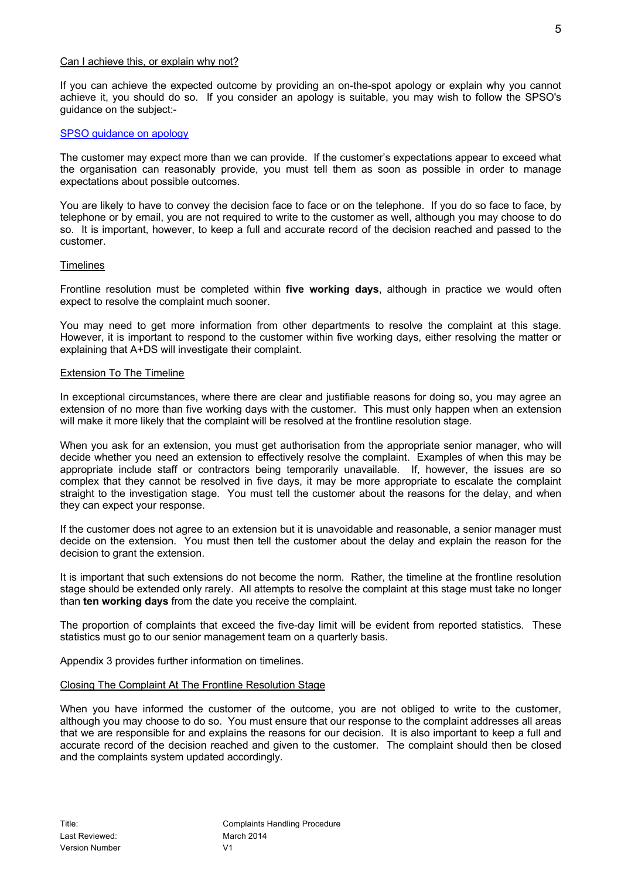#### Can I achieve this, or explain why not?

If you can achieve the expected outcome by providing an on-the-spot apology or explain why you cannot achieve it, you should do so. If you consider an apology is suitable, you may wish to follow the SPSO's guidance on the subject:-

### SPSO guidance on apology

The customer may expect more than we can provide. If the customer's expectations appear to exceed what the organisation can reasonably provide, you must tell them as soon as possible in order to manage expectations about possible outcomes.

You are likely to have to convey the decision face to face or on the telephone. If you do so face to face, by telephone or by email, you are not required to write to the customer as well, although you may choose to do so. It is important, however, to keep a full and accurate record of the decision reached and passed to the customer.

#### **Timelines**

Frontline resolution must be completed within **five working days**, although in practice we would often expect to resolve the complaint much sooner.

You may need to get more information from other departments to resolve the complaint at this stage. However, it is important to respond to the customer within five working days, either resolving the matter or explaining that A+DS will investigate their complaint.

#### Extension To The Timeline

In exceptional circumstances, where there are clear and justifiable reasons for doing so, you may agree an extension of no more than five working days with the customer. This must only happen when an extension will make it more likely that the complaint will be resolved at the frontline resolution stage.

When you ask for an extension, you must get authorisation from the appropriate senior manager, who will decide whether you need an extension to effectively resolve the complaint. Examples of when this may be appropriate include staff or contractors being temporarily unavailable. If, however, the issues are so complex that they cannot be resolved in five days, it may be more appropriate to escalate the complaint straight to the investigation stage. You must tell the customer about the reasons for the delay, and when they can expect your response.

If the customer does not agree to an extension but it is unavoidable and reasonable, a senior manager must decide on the extension. You must then tell the customer about the delay and explain the reason for the decision to grant the extension.

It is important that such extensions do not become the norm. Rather, the timeline at the frontline resolution stage should be extended only rarely. All attempts to resolve the complaint at this stage must take no longer than **ten working days** from the date you receive the complaint.

The proportion of complaints that exceed the five-day limit will be evident from reported statistics. These statistics must go to our senior management team on a quarterly basis.

Appendix 3 provides further information on timelines.

#### Closing The Complaint At The Frontline Resolution Stage

When you have informed the customer of the outcome, you are not obliged to write to the customer, although you may choose to do so. You must ensure that our response to the complaint addresses all areas that we are responsible for and explains the reasons for our decision. It is also important to keep a full and accurate record of the decision reached and given to the customer. The complaint should then be closed and the complaints system updated accordingly.

5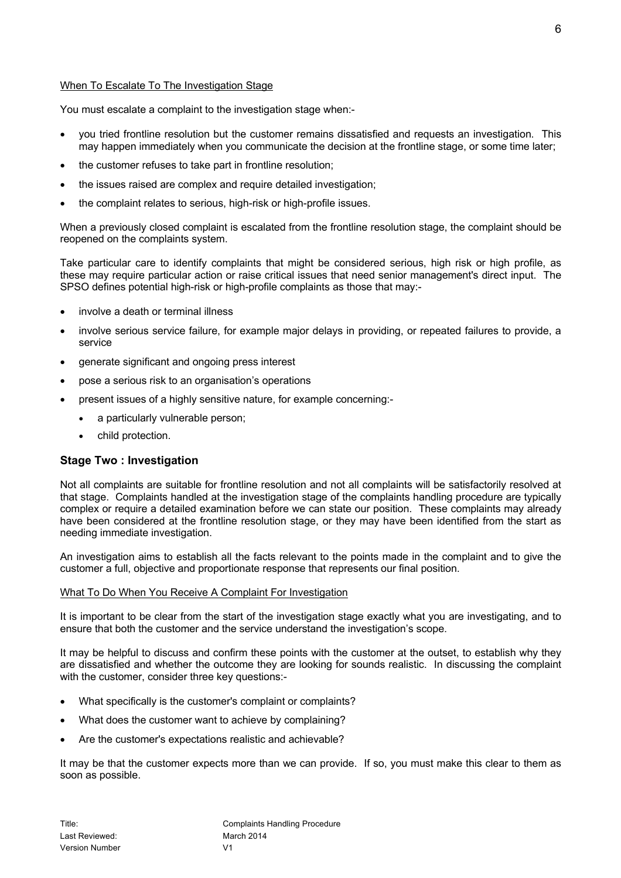## When To Escalate To The Investigation Stage

You must escalate a complaint to the investigation stage when:-

- vou tried frontline resolution but the customer remains dissatisfied and requests an investigation. This may happen immediately when you communicate the decision at the frontline stage, or some time later;
- the customer refuses to take part in frontline resolution;
- the issues raised are complex and require detailed investigation:
- the complaint relates to serious, high-risk or high-profile issues.

When a previously closed complaint is escalated from the frontline resolution stage, the complaint should be reopened on the complaints system.

Take particular care to identify complaints that might be considered serious, high risk or high profile, as these may require particular action or raise critical issues that need senior management's direct input. The SPSO defines potential high-risk or high-profile complaints as those that may:-

- involve a death or terminal illness
- involve serious service failure, for example major delays in providing, or repeated failures to provide, a service
- generate significant and ongoing press interest
- pose a serious risk to an organisation's operations
- present issues of a highly sensitive nature, for example concerning:
	- a particularly vulnerable person;
	- child protection.

## **Stage Two : Investigation**

Not all complaints are suitable for frontline resolution and not all complaints will be satisfactorily resolved at that stage. Complaints handled at the investigation stage of the complaints handling procedure are typically complex or require a detailed examination before we can state our position. These complaints may already have been considered at the frontline resolution stage, or they may have been identified from the start as needing immediate investigation.

An investigation aims to establish all the facts relevant to the points made in the complaint and to give the customer a full, objective and proportionate response that represents our final position.

#### What To Do When You Receive A Complaint For Investigation

It is important to be clear from the start of the investigation stage exactly what you are investigating, and to ensure that both the customer and the service understand the investigation's scope.

It may be helpful to discuss and confirm these points with the customer at the outset, to establish why they are dissatisfied and whether the outcome they are looking for sounds realistic. In discussing the complaint with the customer, consider three key questions:-

- What specifically is the customer's complaint or complaints?
- What does the customer want to achieve by complaining?
- Are the customer's expectations realistic and achievable?

It may be that the customer expects more than we can provide. If so, you must make this clear to them as soon as possible.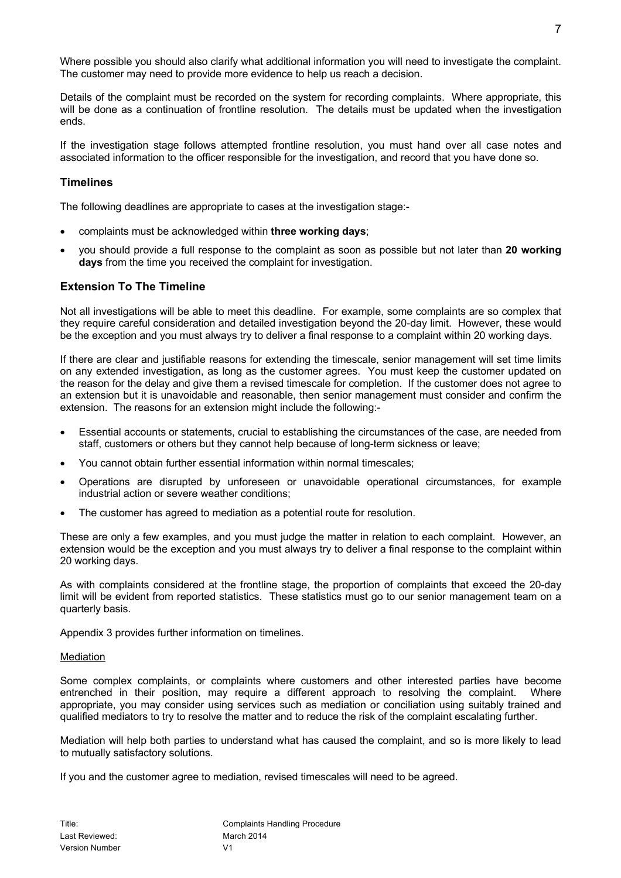Where possible you should also clarify what additional information you will need to investigate the complaint. The customer may need to provide more evidence to help us reach a decision.

Details of the complaint must be recorded on the system for recording complaints. Where appropriate, this will be done as a continuation of frontline resolution. The details must be updated when the investigation ends.

If the investigation stage follows attempted frontline resolution, you must hand over all case notes and associated information to the officer responsible for the investigation, and record that you have done so.

## **Timelines**

The following deadlines are appropriate to cases at the investigation stage:-

- complaints must be acknowledged within **three working days**;
- you should provide a full response to the complaint as soon as possible but not later than **20 working days** from the time you received the complaint for investigation.

## **Extension To The Timeline**

Not all investigations will be able to meet this deadline. For example, some complaints are so complex that they require careful consideration and detailed investigation beyond the 20-day limit. However, these would be the exception and you must always try to deliver a final response to a complaint within 20 working days.

If there are clear and justifiable reasons for extending the timescale, senior management will set time limits on any extended investigation, as long as the customer agrees. You must keep the customer updated on the reason for the delay and give them a revised timescale for completion. If the customer does not agree to an extension but it is unavoidable and reasonable, then senior management must consider and confirm the extension. The reasons for an extension might include the following:-

- Essential accounts or statements, crucial to establishing the circumstances of the case, are needed from staff, customers or others but they cannot help because of long-term sickness or leave;
- You cannot obtain further essential information within normal timescales;
- Operations are disrupted by unforeseen or unavoidable operational circumstances, for example industrial action or severe weather conditions;
- The customer has agreed to mediation as a potential route for resolution.

These are only a few examples, and you must judge the matter in relation to each complaint. However, an extension would be the exception and you must always try to deliver a final response to the complaint within 20 working days.

As with complaints considered at the frontline stage, the proportion of complaints that exceed the 20-day limit will be evident from reported statistics. These statistics must go to our senior management team on a quarterly basis.

Appendix 3 provides further information on timelines.

#### **Mediation**

Some complex complaints, or complaints where customers and other interested parties have become entrenched in their position, may require a different approach to resolving the complaint. Where appropriate, you may consider using services such as mediation or conciliation using suitably trained and qualified mediators to try to resolve the matter and to reduce the risk of the complaint escalating further.

Mediation will help both parties to understand what has caused the complaint, and so is more likely to lead to mutually satisfactory solutions.

If you and the customer agree to mediation, revised timescales will need to be agreed.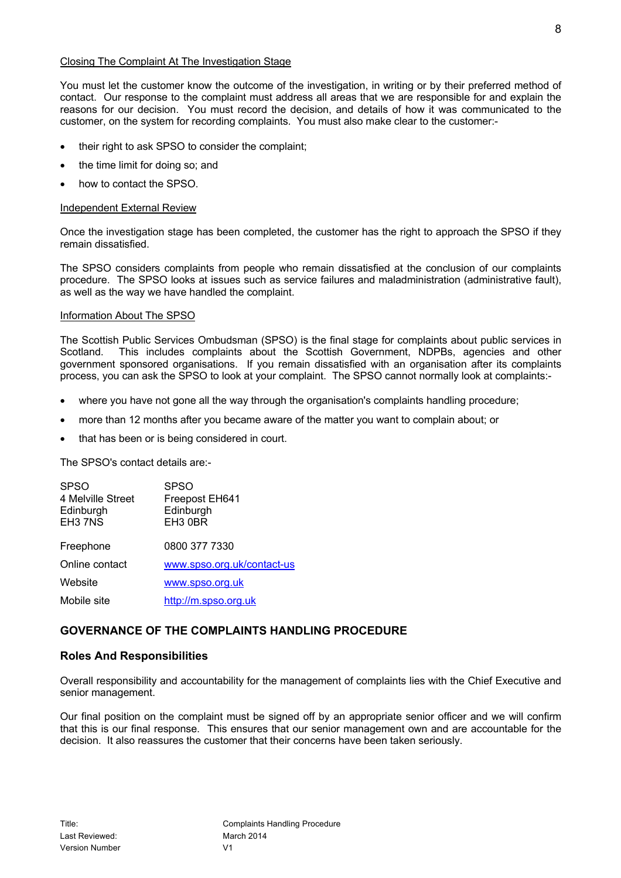#### Closing The Complaint At The Investigation Stage

You must let the customer know the outcome of the investigation, in writing or by their preferred method of contact. Our response to the complaint must address all areas that we are responsible for and explain the reasons for our decision. You must record the decision, and details of how it was communicated to the customer, on the system for recording complaints. You must also make clear to the customer:-

- their right to ask SPSO to consider the complaint;
- the time limit for doing so; and
- how to contact the SPSO.

## Independent External Review

Once the investigation stage has been completed, the customer has the right to approach the SPSO if they remain dissatisfied.

The SPSO considers complaints from people who remain dissatisfied at the conclusion of our complaints procedure. The SPSO looks at issues such as service failures and maladministration (administrative fault), as well as the way we have handled the complaint.

## Information About The SPSO

The Scottish Public Services Ombudsman (SPSO) is the final stage for complaints about public services in Scotland. This includes complaints about the Scottish Government, NDPBs, agencies and other government sponsored organisations. If you remain dissatisfied with an organisation after its complaints process, you can ask the SPSO to look at your complaint. The SPSO cannot normally look at complaints:-

- where you have not gone all the way through the organisation's complaints handling procedure;
- more than 12 months after you became aware of the matter you want to complain about; or
- that has been or is being considered in court.

The SPSO's contact details are:-

| <b>SPSO</b><br>4 Melville Street<br>Edinburgh<br>EH3 7NS | SPSO<br>Freepost EH641<br>Edinburgh<br>EH <sub>3</sub> 0BR |
|----------------------------------------------------------|------------------------------------------------------------|
| Freephone                                                | 0800 377 7330                                              |
| Online contact                                           | www.spso.org.uk/contact-us                                 |
| Website                                                  | www.spso.org.uk                                            |
| Mobile site                                              | http://m.spso.org.uk                                       |
|                                                          |                                                            |

## **GOVERNANCE OF THE COMPLAINTS HANDLING PROCEDURE**

## **Roles And Responsibilities**

Overall responsibility and accountability for the management of complaints lies with the Chief Executive and senior management.

Our final position on the complaint must be signed off by an appropriate senior officer and we will confirm that this is our final response. This ensures that our senior management own and are accountable for the decision. It also reassures the customer that their concerns have been taken seriously.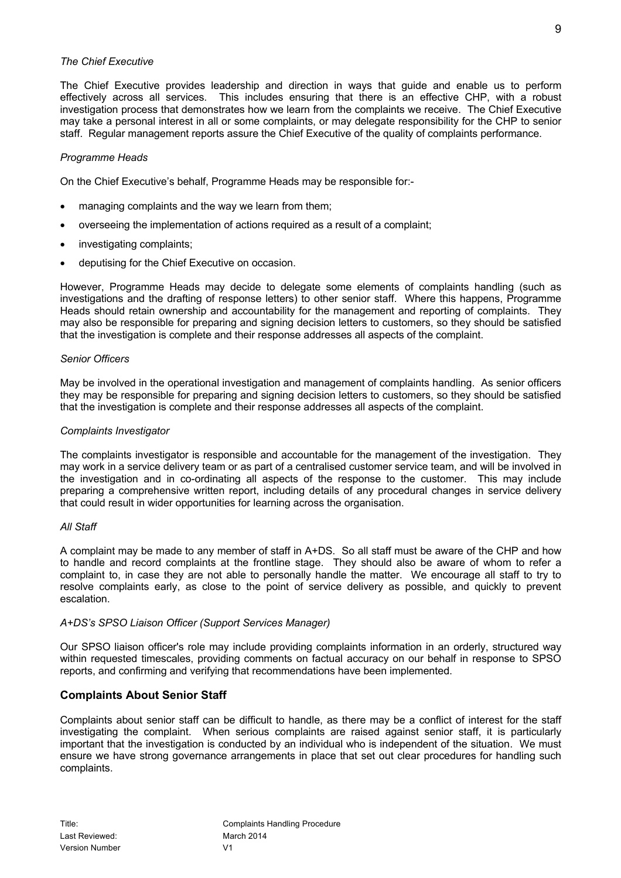### *The Chief Executive*

The Chief Executive provides leadership and direction in ways that guide and enable us to perform effectively across all services. This includes ensuring that there is an effective CHP, with a robust investigation process that demonstrates how we learn from the complaints we receive. The Chief Executive may take a personal interest in all or some complaints, or may delegate responsibility for the CHP to senior staff. Regular management reports assure the Chief Executive of the quality of complaints performance.

## *Programme Heads*

On the Chief Executive's behalf, Programme Heads may be responsible for:-

- managing complaints and the way we learn from them;
- overseeing the implementation of actions required as a result of a complaint;
- investigating complaints;
- deputising for the Chief Executive on occasion.

However, Programme Heads may decide to delegate some elements of complaints handling (such as investigations and the drafting of response letters) to other senior staff. Where this happens, Programme Heads should retain ownership and accountability for the management and reporting of complaints. They may also be responsible for preparing and signing decision letters to customers, so they should be satisfied that the investigation is complete and their response addresses all aspects of the complaint.

#### *Senior Officers*

May be involved in the operational investigation and management of complaints handling. As senior officers they may be responsible for preparing and signing decision letters to customers, so they should be satisfied that the investigation is complete and their response addresses all aspects of the complaint.

#### *Complaints Investigator*

The complaints investigator is responsible and accountable for the management of the investigation. They may work in a service delivery team or as part of a centralised customer service team, and will be involved in the investigation and in co-ordinating all aspects of the response to the customer. This may include preparing a comprehensive written report, including details of any procedural changes in service delivery that could result in wider opportunities for learning across the organisation.

#### *All Staff*

A complaint may be made to any member of staff in A+DS. So all staff must be aware of the CHP and how to handle and record complaints at the frontline stage. They should also be aware of whom to refer a complaint to, in case they are not able to personally handle the matter. We encourage all staff to try to resolve complaints early, as close to the point of service delivery as possible, and quickly to prevent escalation.

#### *A+DS's SPSO Liaison Officer (Support Services Manager)*

Our SPSO liaison officer's role may include providing complaints information in an orderly, structured way within requested timescales, providing comments on factual accuracy on our behalf in response to SPSO reports, and confirming and verifying that recommendations have been implemented.

## **Complaints About Senior Staff**

Complaints about senior staff can be difficult to handle, as there may be a conflict of interest for the staff investigating the complaint. When serious complaints are raised against senior staff, it is particularly important that the investigation is conducted by an individual who is independent of the situation. We must ensure we have strong governance arrangements in place that set out clear procedures for handling such complaints.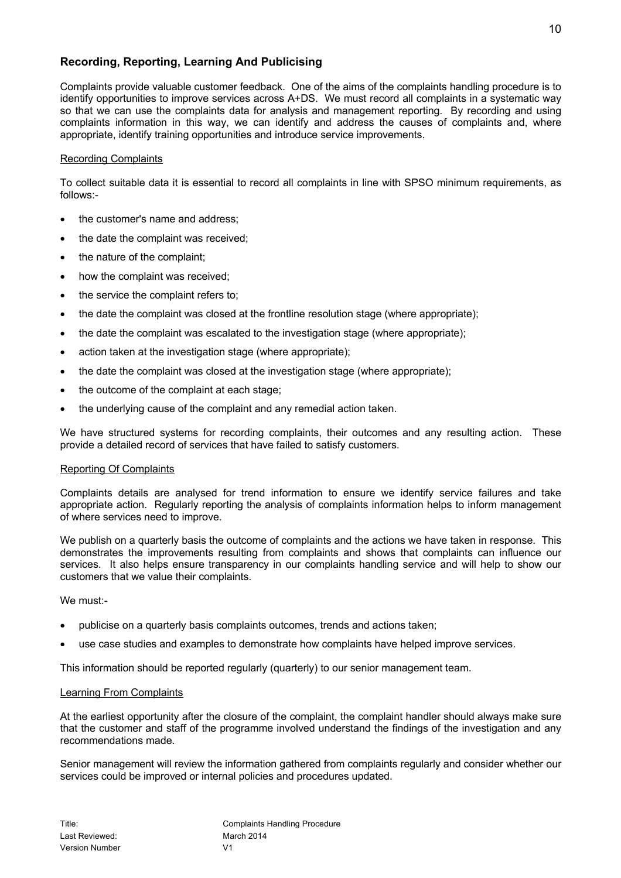## **Recording, Reporting, Learning And Publicising**

Complaints provide valuable customer feedback. One of the aims of the complaints handling procedure is to identify opportunities to improve services across A+DS. We must record all complaints in a systematic way so that we can use the complaints data for analysis and management reporting. By recording and using complaints information in this way, we can identify and address the causes of complaints and, where appropriate, identify training opportunities and introduce service improvements.

#### Recording Complaints

To collect suitable data it is essential to record all complaints in line with SPSO minimum requirements, as follows:-

- the customer's name and address;
- the date the complaint was received;
- the nature of the complaint;
- how the complaint was received;
- the service the complaint refers to;
- the date the complaint was closed at the frontline resolution stage (where appropriate);
- the date the complaint was escalated to the investigation stage (where appropriate);
- action taken at the investigation stage (where appropriate);
- the date the complaint was closed at the investigation stage (where appropriate);
- the outcome of the complaint at each stage;
- the underlying cause of the complaint and any remedial action taken.

We have structured systems for recording complaints, their outcomes and any resulting action. These provide a detailed record of services that have failed to satisfy customers.

#### Reporting Of Complaints

Complaints details are analysed for trend information to ensure we identify service failures and take appropriate action. Regularly reporting the analysis of complaints information helps to inform management of where services need to improve.

We publish on a quarterly basis the outcome of complaints and the actions we have taken in response. This demonstrates the improvements resulting from complaints and shows that complaints can influence our services. It also helps ensure transparency in our complaints handling service and will help to show our customers that we value their complaints.

We must:-

- publicise on a quarterly basis complaints outcomes, trends and actions taken;
- use case studies and examples to demonstrate how complaints have helped improve services.

This information should be reported regularly (quarterly) to our senior management team.

#### Learning From Complaints

At the earliest opportunity after the closure of the complaint, the complaint handler should always make sure that the customer and staff of the programme involved understand the findings of the investigation and any recommendations made.

Senior management will review the information gathered from complaints regularly and consider whether our services could be improved or internal policies and procedures updated.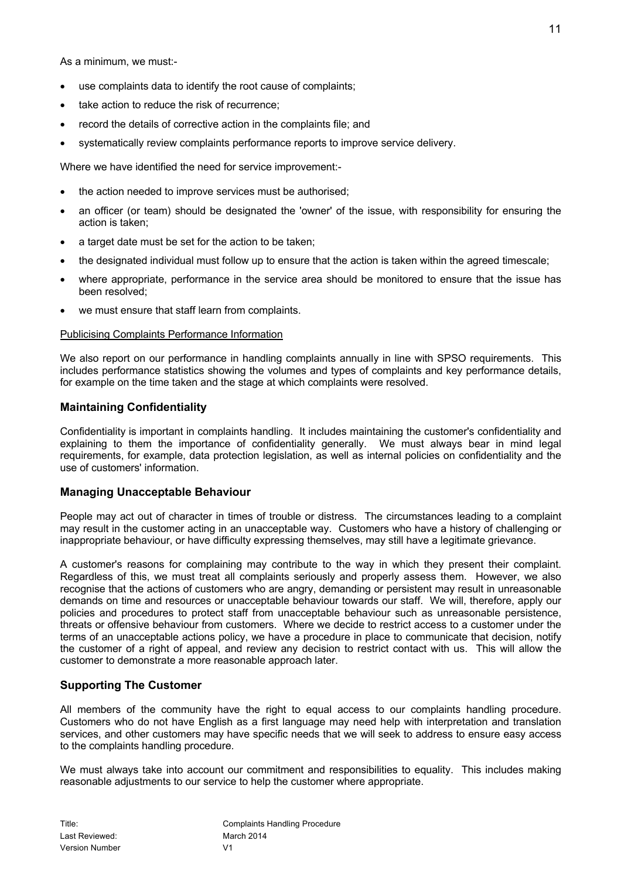As a minimum, we must:-

- use complaints data to identify the root cause of complaints;
- take action to reduce the risk of recurrence;
- record the details of corrective action in the complaints file; and
- systematically review complaints performance reports to improve service delivery.

Where we have identified the need for service improvement:-

- the action needed to improve services must be authorised;
- an officer (or team) should be designated the 'owner' of the issue, with responsibility for ensuring the action is taken;
- a target date must be set for the action to be taken;
- the designated individual must follow up to ensure that the action is taken within the agreed timescale;
- where appropriate, performance in the service area should be monitored to ensure that the issue has been resolved;
- we must ensure that staff learn from complaints.

## Publicising Complaints Performance Information

We also report on our performance in handling complaints annually in line with SPSO requirements. This includes performance statistics showing the volumes and types of complaints and key performance details, for example on the time taken and the stage at which complaints were resolved.

## **Maintaining Confidentiality**

Confidentiality is important in complaints handling. It includes maintaining the customer's confidentiality and explaining to them the importance of confidentiality generally. We must always bear in mind legal requirements, for example, data protection legislation, as well as internal policies on confidentiality and the use of customers' information.

## **Managing Unacceptable Behaviour**

People may act out of character in times of trouble or distress. The circumstances leading to a complaint may result in the customer acting in an unacceptable way. Customers who have a history of challenging or inappropriate behaviour, or have difficulty expressing themselves, may still have a legitimate grievance.

A customer's reasons for complaining may contribute to the way in which they present their complaint. Regardless of this, we must treat all complaints seriously and properly assess them. However, we also recognise that the actions of customers who are angry, demanding or persistent may result in unreasonable demands on time and resources or unacceptable behaviour towards our staff. We will, therefore, apply our policies and procedures to protect staff from unacceptable behaviour such as unreasonable persistence, threats or offensive behaviour from customers. Where we decide to restrict access to a customer under the terms of an unacceptable actions policy, we have a procedure in place to communicate that decision, notify the customer of a right of appeal, and review any decision to restrict contact with us. This will allow the customer to demonstrate a more reasonable approach later.

## **Supporting The Customer**

All members of the community have the right to equal access to our complaints handling procedure. Customers who do not have English as a first language may need help with interpretation and translation services, and other customers may have specific needs that we will seek to address to ensure easy access to the complaints handling procedure.

We must always take into account our commitment and responsibilities to equality. This includes making reasonable adjustments to our service to help the customer where appropriate.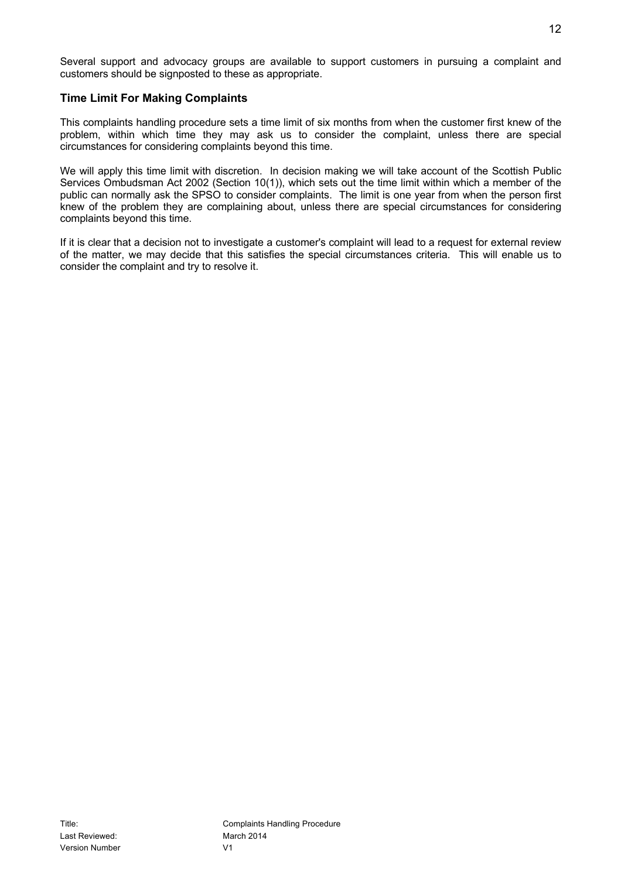## **Time Limit For Making Complaints**

This complaints handling procedure sets a time limit of six months from when the customer first knew of the problem, within which time they may ask us to consider the complaint, unless there are special circumstances for considering complaints beyond this time.

We will apply this time limit with discretion. In decision making we will take account of the Scottish Public Services Ombudsman Act 2002 (Section 10(1)), which sets out the time limit within which a member of the public can normally ask the SPSO to consider complaints. The limit is one year from when the person first knew of the problem they are complaining about, unless there are special circumstances for considering complaints beyond this time.

If it is clear that a decision not to investigate a customer's complaint will lead to a request for external review of the matter, we may decide that this satisfies the special circumstances criteria. This will enable us to consider the complaint and try to resolve it.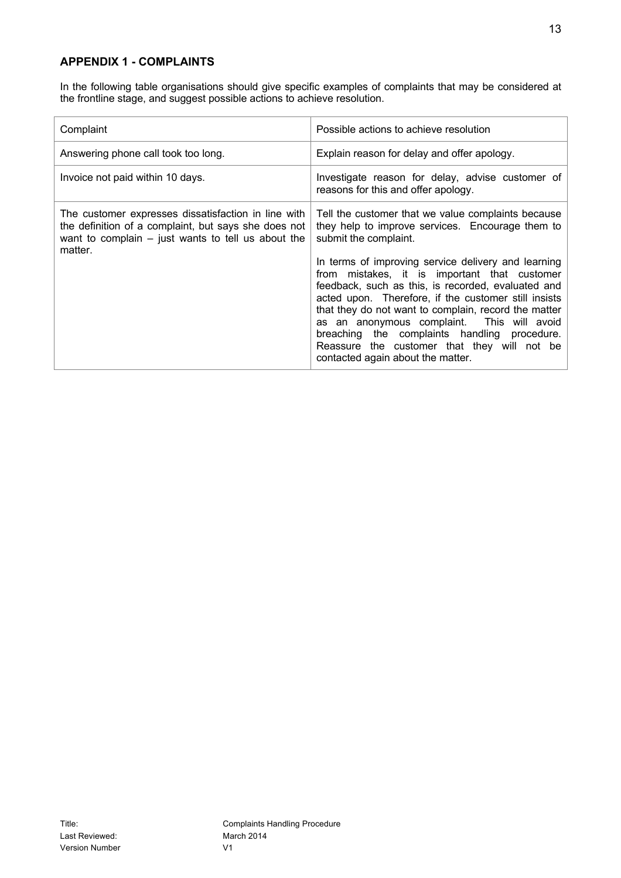## **APPENDIX 1 - COMPLAINTS**

In the following table organisations should give specific examples of complaints that may be considered at the frontline stage, and suggest possible actions to achieve resolution.

| Complaint                                                                                                                                                                      | Possible actions to achieve resolution                                                                                                                                                                                                                                                                                                                                                                                                                                                                                                                                                         |
|--------------------------------------------------------------------------------------------------------------------------------------------------------------------------------|------------------------------------------------------------------------------------------------------------------------------------------------------------------------------------------------------------------------------------------------------------------------------------------------------------------------------------------------------------------------------------------------------------------------------------------------------------------------------------------------------------------------------------------------------------------------------------------------|
| Answering phone call took too long.                                                                                                                                            | Explain reason for delay and offer apology.                                                                                                                                                                                                                                                                                                                                                                                                                                                                                                                                                    |
| Invoice not paid within 10 days.                                                                                                                                               | Investigate reason for delay, advise customer of<br>reasons for this and offer apology.                                                                                                                                                                                                                                                                                                                                                                                                                                                                                                        |
| The customer expresses dissatisfaction in line with<br>the definition of a complaint, but says she does not<br>want to complain $-$ just wants to tell us about the<br>matter. | Tell the customer that we value complaints because<br>they help to improve services. Encourage them to<br>submit the complaint.<br>In terms of improving service delivery and learning<br>from mistakes, it is important that customer<br>feedback, such as this, is recorded, evaluated and<br>acted upon. Therefore, if the customer still insists<br>that they do not want to complain, record the matter<br>as an anonymous complaint. This will avoid<br>breaching the complaints handling procedure.<br>Reassure the customer that they will not be<br>contacted again about the matter. |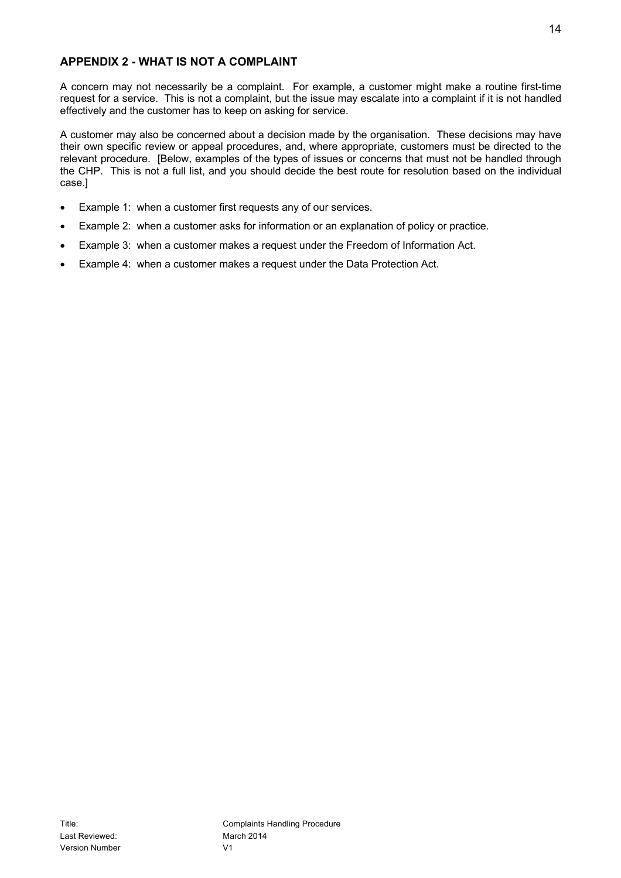## **APPENDIX 2 - WHAT IS NOT A COMPLAINT**

A concern may not necessarily be a complaint. For example, a customer might make a routine first-time request for a service. This is not a complaint, but the issue may escalate into a complaint if it is not handled effectively and the customer has to keep on asking for service.

A customer may also be concerned about a decision made by the organisation. These decisions may have their own specific review or appeal procedures, and, where appropriate, customers must be directed to the relevant procedure. [Below, examples of the types of issues or concerns that must not be handled through the CHP. This is not a full list, and you should decide the best route for resolution based on the individual case.]

- Example 1: when a customer first requests any of our services.
- Example 2: when a customer asks for information or an explanation of policy or practice.
- Example 3: when a customer makes a request under the Freedom of Information Act.
- Example 4: when a customer makes a request under the Data Protection Act.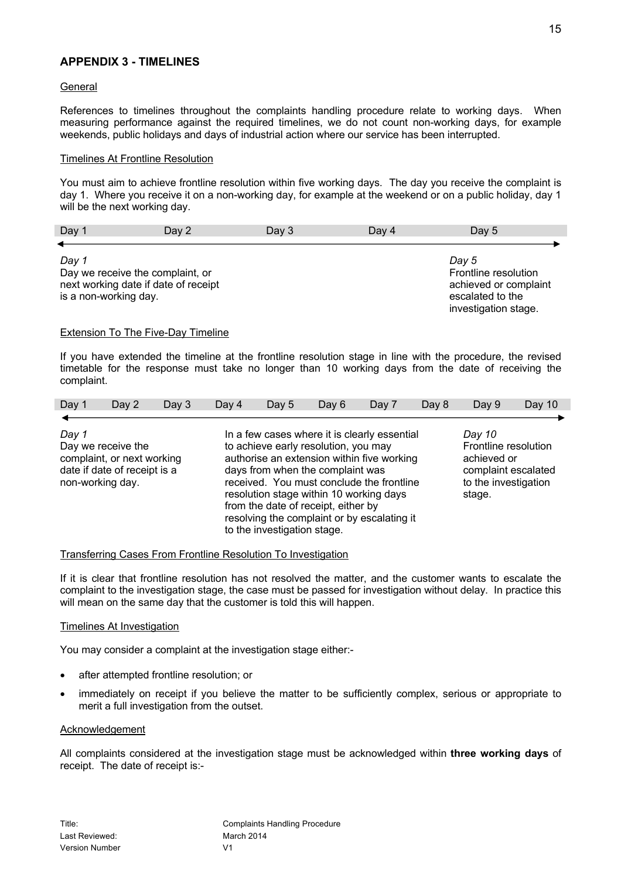## **APPENDIX 3 - TIMELINES**

#### **General**

References to timelines throughout the complaints handling procedure relate to working days. When measuring performance against the required timelines, we do not count non-working days, for example weekends, public holidays and days of industrial action where our service has been interrupted.

### Timelines At Frontline Resolution

You must aim to achieve frontline resolution within five working days. The day you receive the complaint is day 1. Where you receive it on a non-working day, for example at the weekend or on a public holiday, day 1 will be the next working day.

| Day 1                 | Day 2                                | Day $3$ | Day 4 | Day 5                 |
|-----------------------|--------------------------------------|---------|-------|-----------------------|
|                       |                                      |         |       |                       |
| Day 1                 |                                      |         |       | Day 5                 |
|                       | Day we receive the complaint, or     |         |       | Frontline resolution  |
|                       | next working date if date of receipt |         |       | achieved or complaint |
| is a non-working day. |                                      |         |       | escalated to the      |

#### Extension To The Five-Day Timeline

If you have extended the timeline at the frontline resolution stage in line with the procedure, the revised timetable for the response must take no longer than 10 working days from the date of receiving the complaint.

| Day 1 | Day 2                                                                                                | Day $3$ | Day 4 | Day 5                       | Day 6                                                                                                                                                                                                                                                                                                                                                | Day 7 | Day 8 | Day 9                                                                                                  | Day 10 |
|-------|------------------------------------------------------------------------------------------------------|---------|-------|-----------------------------|------------------------------------------------------------------------------------------------------------------------------------------------------------------------------------------------------------------------------------------------------------------------------------------------------------------------------------------------------|-------|-------|--------------------------------------------------------------------------------------------------------|--------|
|       |                                                                                                      |         |       |                             |                                                                                                                                                                                                                                                                                                                                                      |       |       |                                                                                                        |        |
| Day 1 | Day we receive the<br>complaint, or next working<br>date if date of receipt is a<br>non-working day. |         |       |                             | In a few cases where it is clearly essential<br>to achieve early resolution, you may<br>authorise an extension within five working<br>days from when the complaint was<br>received. You must conclude the frontline<br>resolution stage within 10 working days<br>from the date of receipt, either by<br>resolving the complaint or by escalating it |       |       | Day 10<br>Frontline resolution<br>achieved or<br>complaint escalated<br>to the investigation<br>stage. |        |
|       |                                                                                                      |         |       | to the investigation stage. |                                                                                                                                                                                                                                                                                                                                                      |       |       |                                                                                                        |        |

#### Transferring Cases From Frontline Resolution To Investigation

If it is clear that frontline resolution has not resolved the matter, and the customer wants to escalate the complaint to the investigation stage, the case must be passed for investigation without delay. In practice this will mean on the same day that the customer is told this will happen.

#### Timelines At Investigation

You may consider a complaint at the investigation stage either:-

- after attempted frontline resolution; or
- immediately on receipt if you believe the matter to be sufficiently complex, serious or appropriate to merit a full investigation from the outset.

#### **Acknowledgement**

All complaints considered at the investigation stage must be acknowledged within **three working days** of receipt. The date of receipt is:-

investigation stage.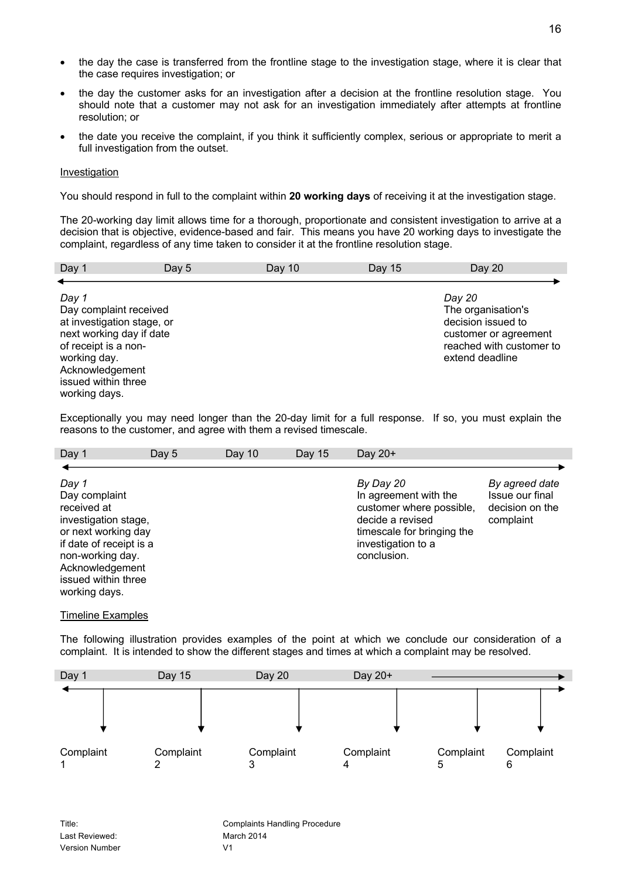- the day the case is transferred from the frontline stage to the investigation stage, where it is clear that the case requires investigation; or
- the day the customer asks for an investigation after a decision at the frontline resolution stage. You should note that a customer may not ask for an investigation immediately after attempts at frontline resolution; or
- the date you receive the complaint, if you think it sufficiently complex, serious or appropriate to merit a full investigation from the outset.

#### Investigation

You should respond in full to the complaint within **20 working days** of receiving it at the investigation stage.

The 20-working day limit allows time for a thorough, proportionate and consistent investigation to arrive at a decision that is objective, evidence-based and fair. This means you have 20 working days to investigate the complaint, regardless of any time taken to consider it at the frontline resolution stage.

| Day 1                                                            | Day 5 | Day $10$ | Day 15 | Day 20                                                               |
|------------------------------------------------------------------|-------|----------|--------|----------------------------------------------------------------------|
|                                                                  |       |          |        |                                                                      |
| Day 1<br>Day complaint received<br>at investigation stage, or    |       |          |        | Day 20<br>The organisation's<br>decision issued to                   |
| next working day if date<br>of receipt is a non-<br>working day. |       |          |        | customer or agreement<br>reached with customer to<br>extend deadline |
| Acknowledgement<br>issued within three<br>working days.          |       |          |        |                                                                      |

Exceptionally you may need longer than the 20-day limit for a full response. If so, you must explain the reasons to the customer, and agree with them a revised timescale.

| Day 1                                                                                                                                                                                          | Day 5 | Day 10 | Day 15 | Day $20+$                                                                                                                                             |                                                                   |
|------------------------------------------------------------------------------------------------------------------------------------------------------------------------------------------------|-------|--------|--------|-------------------------------------------------------------------------------------------------------------------------------------------------------|-------------------------------------------------------------------|
|                                                                                                                                                                                                |       |        |        |                                                                                                                                                       |                                                                   |
| Day 1<br>Day complaint<br>received at<br>investigation stage,<br>or next working day<br>if date of receipt is a<br>non-working day.<br>Acknowledgement<br>issued within three<br>working days. |       |        |        | By Day 20<br>In agreement with the<br>customer where possible,<br>decide a revised<br>timescale for bringing the<br>investigation to a<br>conclusion. | By agreed date<br>Issue our final<br>decision on the<br>complaint |

#### Timeline Examples

The following illustration provides examples of the point at which we conclude our consideration of a complaint. It is intended to show the different stages and times at which a complaint may be resolved.

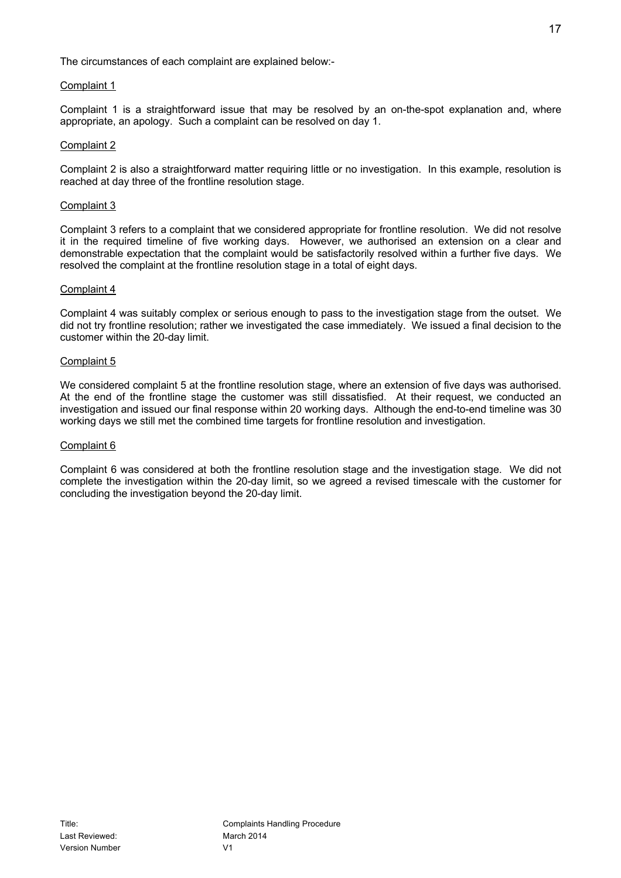The circumstances of each complaint are explained below:-

## Complaint 1

Complaint 1 is a straightforward issue that may be resolved by an on-the-spot explanation and, where appropriate, an apology. Such a complaint can be resolved on day 1.

#### Complaint 2

Complaint 2 is also a straightforward matter requiring little or no investigation. In this example, resolution is reached at day three of the frontline resolution stage.

#### Complaint 3

Complaint 3 refers to a complaint that we considered appropriate for frontline resolution. We did not resolve it in the required timeline of five working days. However, we authorised an extension on a clear and demonstrable expectation that the complaint would be satisfactorily resolved within a further five days. We resolved the complaint at the frontline resolution stage in a total of eight days.

#### Complaint 4

Complaint 4 was suitably complex or serious enough to pass to the investigation stage from the outset. We did not try frontline resolution; rather we investigated the case immediately. We issued a final decision to the customer within the 20-day limit.

#### Complaint 5

We considered complaint 5 at the frontline resolution stage, where an extension of five days was authorised. At the end of the frontline stage the customer was still dissatisfied. At their request, we conducted an investigation and issued our final response within 20 working days. Although the end-to-end timeline was 30 working days we still met the combined time targets for frontline resolution and investigation.

### Complaint 6

Complaint 6 was considered at both the frontline resolution stage and the investigation stage. We did not complete the investigation within the 20-day limit, so we agreed a revised timescale with the customer for concluding the investigation beyond the 20-day limit.

17